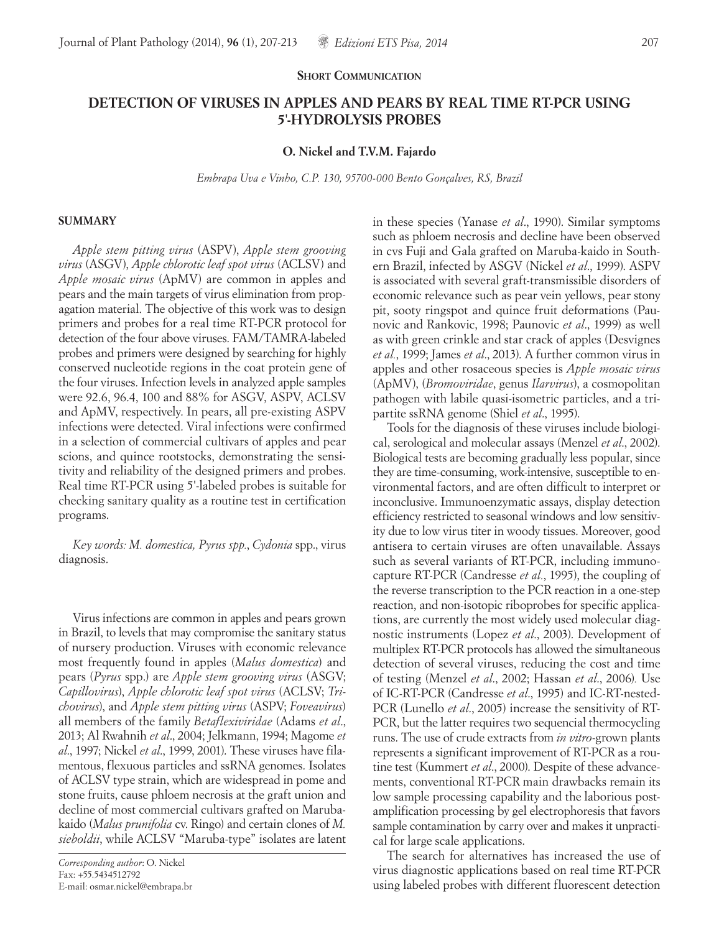## **SHORT COMMUNICATION**

# **DETECTION OF VIRUSES IN APPLES AND PEARS BY REAL TIME RT-PCR USING 5**'**-HYDROLYSIS PROBES**

## **O. Nickel and T.V.M. Fajardo**

*Embrapa Uva e Vinho, C.P. 130, 95700-000 Bento Gonçalves, RS, Brazil*

#### **SUMMARY**

*Apple stem pitting virus* (ASPV), *Apple stem grooving virus* (ASGV), *Apple chlorotic leaf spot virus* (ACLSV) and *Apple mosaic virus* (ApMV) are common in apples and pears and the main targets of virus elimination from propagation material. The objective of this work was to design primers and probes for a real time RT-PCR protocol for detection of the four above viruses. FAM/TAMRA-labeled probes and primers were designed by searching for highly conserved nucleotide regions in the coat protein gene of the four viruses. Infection levels in analyzed apple samples were 92.6, 96.4, 100 and 88% for ASGV, ASPV, ACLSV and ApMV, respectively. In pears, all pre-existing ASPV infections were detected. Viral infections were confirmed in a selection of commercial cultivars of apples and pear scions, and quince rootstocks, demonstrating the sensitivity and reliability of the designed primers and probes. Real time RT-PCR using 5'-labeled probes is suitable for checking sanitary quality as a routine test in certification programs.

*Key words: M. domestica, Pyrus spp.*, *Cydonia* spp., virus diagnosis.

Virus infections are common in apples and pears grown in Brazil, to levels that may compromise the sanitary status of nursery production. Viruses with economic relevance most frequently found in apples (*Malus domestica*) and pears (*Pyrus* spp.) are *Apple stem grooving virus* (ASGV; *Capillovirus*), *Apple chlorotic leaf spot virus* (ACLSV; *Trichovirus*), and *Apple stem pitting virus* (ASPV; *Foveavirus*) all members of the family *Betaflexiviridae* (Adams *et al*., 2013; Al Rwahnih *et al*., 2004; Jelkmann, 1994; Magome *et al*., 1997; Nickel *et al*., 1999, 2001). These viruses have filamentous, flexuous particles and ssRNA genomes. Isolates of ACLSV type strain, which are widespread in pome and stone fruits, cause phloem necrosis at the graft union and decline of most commercial cultivars grafted on Marubakaido (*Malus prunifolia* cv. Ringo) and certain clones of *M. sieboldii*, while ACLSV "Maruba-type" isolates are latent in these species (Yanase *et al*., 1990). Similar symptoms such as phloem necrosis and decline have been observed in cvs Fuji and Gala grafted on Maruba-kaido in Southern Brazil, infected by ASGV (Nickel *et al*., 1999). ASPV is associated with several graft-transmissible disorders of economic relevance such as pear vein yellows, pear stony pit, sooty ringspot and quince fruit deformations (Paunovic and Rankovic, 1998; Paunovic *et al*., 1999) as well as with green crinkle and star crack of apples (Desvignes *et al.*, 1999; James *et al*., 2013). A further common virus in apples and other rosaceous species is *Apple mosaic virus* (ApMV), (*Bromoviridae*, genus *Ilarvirus*), a cosmopolitan pathogen with labile quasi-isometric particles, and a tripartite ssRNA genome (Shiel *et al*., 1995).

Tools for the diagnosis of these viruses include biological, serological and molecular assays (Menzel *et al*., 2002). Biological tests are becoming gradually less popular, since they are time-consuming, work-intensive, susceptible to environmental factors, and are often difficult to interpret or inconclusive. Immunoenzymatic assays, display detection efficiency restricted to seasonal windows and low sensitivity due to low virus titer in woody tissues. Moreover, good antisera to certain viruses are often unavailable. Assays such as several variants of RT-PCR, including immunocapture RT-PCR (Candresse *et al.*, 1995), the coupling of the reverse transcription to the PCR reaction in a one-step reaction, and non-isotopic riboprobes for specific applications, are currently the most widely used molecular diagnostic instruments (Lopez *et al*., 2003). Development of multiplex RT-PCR protocols has allowed the simultaneous detection of several viruses, reducing the cost and time of testing (Menzel *et al*., 2002; Hassan *et al*., 2006)*.* Use of IC-RT-PCR (Candresse *et al*., 1995) and IC-RT-nested-PCR (Lunello *et al*., 2005) increase the sensitivity of RT-PCR, but the latter requires two sequencial thermocycling runs. The use of crude extracts from *in vitro*-grown plants represents a significant improvement of RT-PCR as a routine test (Kummert *et al*., 2000). Despite of these advancements, conventional RT-PCR main drawbacks remain its low sample processing capability and the laborious postamplification processing by gel electrophoresis that favors sample contamination by carry over and makes it unpractical for large scale applications.

The search for alternatives has increased the use of virus diagnostic applications based on real time RT-PCR using labeled probes with different fluorescent detection

*Corresponding author*: O. Nickel Fax: +55.5434512792 E-mail: osmar.nickel@embrapa.br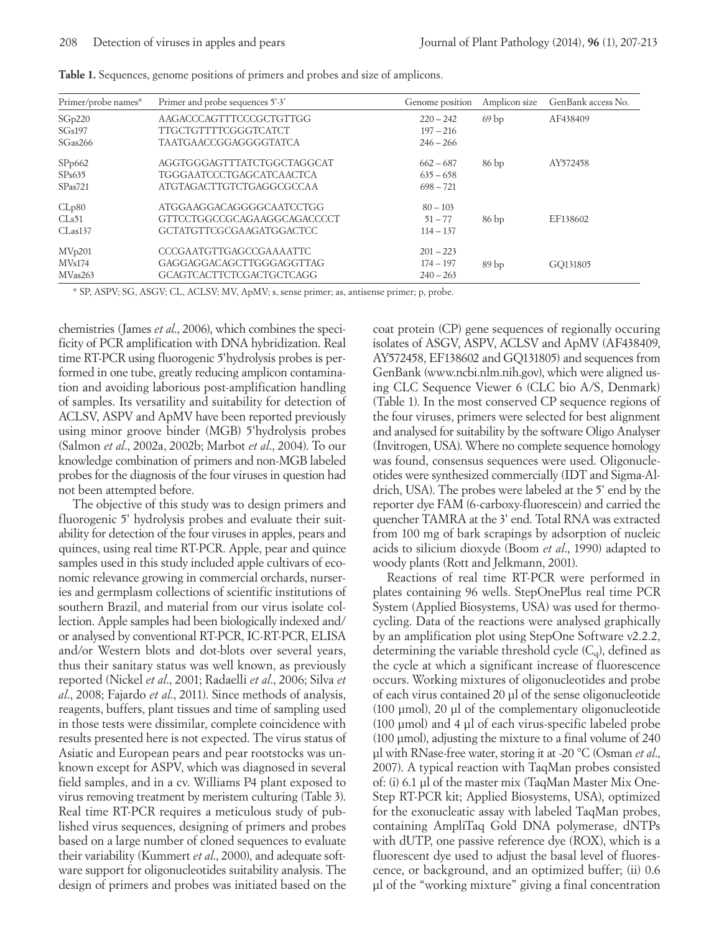| Primer/probe names* | Primer and probe sequences 5'-3' | Genome position | Amplicon size    | GenBank access No. |
|---------------------|----------------------------------|-----------------|------------------|--------------------|
| SGp220              | AAGACCCAGTTTCCCGCTGTTGG          | $220 - 242$     | 69 <sub>bp</sub> | AF438409           |
| SGs197              | <b>TTGCTGTTTTCGGGTCATCT</b>      | $197 - 216$     |                  |                    |
| SGas266             | <b>TAATGAACCGGAGGGGTATCA</b>     | $246 - 266$     |                  |                    |
| SPp662              | AGGTGGGAGTTTATCTGGCTAGGCAT       | $662 - 687$     | 86bp             | AY572458           |
| SPs635              | <b>TGGGAATCCCTGAGCATCAACTCA</b>  | $635 - 658$     |                  |                    |
| SPas721             | ATGTAGACTTGTCTGAGGCGCCAA         | $698 - 721$     |                  |                    |
| CLp80               | ATGGAAGGACAGGGGCAATCCTGG         | $80 - 103$      |                  |                    |
| CLs51               | GTTCCTGGCCGCAGAAGGCAGACCCCT      | $51 - 77$       | 86 <sub>bp</sub> | EF138602           |
| CLas137             | GCTATGTTCGCGAAGATGGACTCC         | $114 - 137$     |                  |                    |
| MVp201              | CCCGAATGTTGAGCCGAAAATTC          | $201 - 223$     |                  |                    |
| MVs174              | GAGGAGGACAGCTTGGGAGGTTAG         | $174 - 197$     | 89 <sub>bp</sub> | GO131805           |
| MVas263             | GCAGTCACTTCTCGACTGCTCAGG         | $240 - 263$     |                  |                    |

| Table 1. Sequences, genome positions of primers and probes and size of amplicons. |  |  |  |
|-----------------------------------------------------------------------------------|--|--|--|
|                                                                                   |  |  |  |

\* SP, ASPV; SG, ASGV; CL, ACLSV; MV, ApMV; s, sense primer; as, antisense primer; p, probe.

chemistries (James *et al*., 2006), which combines the specificity of PCR amplification with DNA hybridization. Real time RT-PCR using fluorogenic 5'hydrolysis probes is performed in one tube, greatly reducing amplicon contamination and avoiding laborious post-amplification handling of samples. Its versatility and suitability for detection of ACLSV, ASPV and ApMV have been reported previously using minor groove binder (MGB) 5'hydrolysis probes (Salmon *et al*., 2002a, 2002b; Marbot *et al*., 2004). To our knowledge combination of primers and non-MGB labeled probes for the diagnosis of the four viruses in question had not been attempted before.

The objective of this study was to design primers and fluorogenic 5' hydrolysis probes and evaluate their suitability for detection of the four viruses in apples, pears and quinces, using real time RT-PCR. Apple, pear and quince samples used in this study included apple cultivars of economic relevance growing in commercial orchards, nurseries and germplasm collections of scientific institutions of southern Brazil, and material from our virus isolate collection. Apple samples had been biologically indexed and/ or analysed by conventional RT-PCR, IC-RT-PCR, ELISA and/or Western blots and dot-blots over several years, thus their sanitary status was well known, as previously reported (Nickel *et al*., 2001; Radaelli *et al*., 2006; Silva *et al*., 2008; Fajardo *et al*., 2011). Since methods of analysis, reagents, buffers, plant tissues and time of sampling used in those tests were dissimilar, complete coincidence with results presented here is not expected. The virus status of Asiatic and European pears and pear rootstocks was unknown except for ASPV, which was diagnosed in several field samples, and in a cv. Williams P4 plant exposed to virus removing treatment by meristem culturing (Table 3). Real time RT-PCR requires a meticulous study of published virus sequences, designing of primers and probes based on a large number of cloned sequences to evaluate their variability (Kummert *et al*., 2000), and adequate software support for oligonucleotides suitability analysis. The design of primers and probes was initiated based on the

coat protein (CP) gene sequences of regionally occuring isolates of ASGV, ASPV, ACLSV and ApMV (AF438409, AY572458, EF138602 and GQ131805) and sequences from GenBank (www.ncbi.nlm.nih.gov), which were aligned using CLC Sequence Viewer 6 (CLC bio A/S, Denmark) (Table 1). In the most conserved CP sequence regions of the four viruses, primers were selected for best alignment and analysed for suitability by the software Oligo Analyser (Invitrogen, USA). Where no complete sequence homology was found, consensus sequences were used. Oligonucleotides were synthesized commercially (IDT and Sigma-Aldrich, USA). The probes were labeled at the 5' end by the reporter dye FAM (6-carboxy-fluorescein) and carried the quencher TAMRA at the 3' end. Total RNA was extracted from 100 mg of bark scrapings by adsorption of nucleic acids to silicium dioxyde (Boom *et al*., 1990) adapted to woody plants (Rott and Jelkmann, 2001).

Reactions of real time RT-PCR were performed in plates containing 96 wells. StepOnePlus real time PCR System (Applied Biosystems, USA) was used for thermocycling. Data of the reactions were analysed graphically by an amplification plot using StepOne Software v2.2.2, determining the variable threshold cycle  $(C_{q})$ , defined as the cycle at which a significant increase of fluorescence occurs. Working mixtures of oligonucleotides and probe of each virus contained 20 µl of the sense oligonucleotide (100 µmol), 20 µl of the complementary oligonucleotide (100 µmol) and 4 µl of each virus-specific labeled probe (100 µmol), adjusting the mixture to a final volume of 240 µl with RNase-free water, storing it at -20 °C (Osman *et al*., 2007). A typical reaction with TaqMan probes consisted of: (i) 6.1 µl of the master mix (TaqMan Master Mix One-Step RT-PCR kit; Applied Biosystems, USA), optimized for the exonucleatic assay with labeled TaqMan probes, containing AmpliTaq Gold DNA polymerase, dNTPs with dUTP, one passive reference dye (ROX), which is a fluorescent dye used to adjust the basal level of fluorescence, or background, and an optimized buffer; (ii) 0.6 µl of the "working mixture" giving a final concentration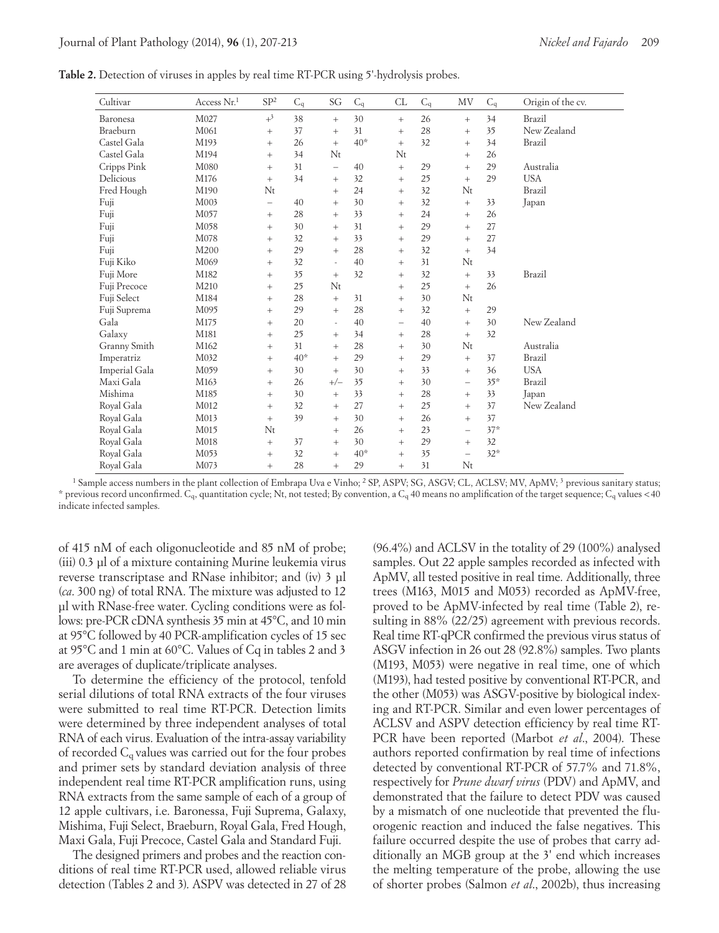| Table 2. Detection of viruses in apples by real time RT-PCR using 5'-hydrolysis probes. |  |  |  |
|-----------------------------------------------------------------------------------------|--|--|--|
|-----------------------------------------------------------------------------------------|--|--|--|

| Cultivar      | Access Nr.1 | SP <sup>2</sup>          | $C_q$ | SG                       | $C_q$ | CL                       | $C_q$ | MV                       | $C_q$ | Origin of the cv. |
|---------------|-------------|--------------------------|-------|--------------------------|-------|--------------------------|-------|--------------------------|-------|-------------------|
| Baronesa      | M027        | $+^3$                    | 38    | $^{+}$                   | 30    | $\! +$                   | 26    | $+$                      | 34    | Brazil            |
| Braeburn      | M061        | $\! +$                   | 37    | $^{+}$                   | 31    | $+$                      | 28    | $\! +$                   | 35    | New Zealand       |
| Castel Gala   | M193        | $+$                      | 26    | $+$                      | $40*$ | $+$                      | 32    | $+$                      | 34    | Brazil            |
| Castel Gala   | M194        | $\! +$                   | 34    | $N_t$                    |       | $N_t$                    |       | $+$                      | 26    |                   |
| Cripps Pink   | M080        | $\! +$                   | 31    | $\overline{\phantom{0}}$ | 40    | $+$                      | 29    | $+$                      | 29    | Australia         |
| Delicious     | M176        | $+$                      | 34    | $+$                      | 32    | $+$                      | 25    | $+$                      | 29    | <b>USA</b>        |
| Fred Hough    | M190        | $N_{t}$                  |       | $^{+}$                   | 24    | $^{+}$                   | 32    | Nt                       |       | Brazil            |
| Fuji          | M003        | $\overline{\phantom{0}}$ | 40    | $^{+}$                   | 30    | $+$                      | 32    | $+$                      | 33    | Japan             |
| Fuji          | M057        | $\! +$                   | 28    | $+$                      | 33    | $+$                      | 24    | $+$                      | 26    |                   |
| Fuji          | M058        | $^{+}$                   | 30    | $^{+}$                   | 31    | $+$                      | 29    | $^{+}$                   | 27    |                   |
| Fuji          | M078        | $^{+}$                   | 32    | $+$                      | 33    | $+$                      | 29    | $+$                      | 27    |                   |
| Fuji          | M200        | $+$                      | 29    | $+$                      | 28    | $+$                      | 32    | $^{+}$                   | 34    |                   |
| Fuji Kiko     | M069        | $^{+}$                   | 32    | $\sim$                   | 40    | $+$                      | 31    | $N_t$                    |       |                   |
| Fuji More     | M182        | $^{+}$                   | 35    | $+$                      | 32    | $+$                      | 32    | $+$                      | 33    | Brazil            |
| Fuji Precoce  | M210        | $+$                      | 25    | $N_t$                    |       | $+$                      | 25    | $^{+}$                   | 26    |                   |
| Fuji Select   | M184        | $^{+}$                   | 28    | $\qquad \qquad +$        | 31    | $+$                      | 30    | $N_t$                    |       |                   |
| Fuji Suprema  | M095        | $^{+}$                   | 29    | $\qquad \qquad +$        | 28    | $+$                      | 32    | $+$                      | 29    |                   |
| Gala          | M175        | $^{+}$                   | 20    | $\overline{\phantom{a}}$ | 40    | $\overline{\phantom{m}}$ | 40    | $+$                      | 30    | New Zealand       |
| Galaxy        | M181        | $^{+}$                   | 25    | $^{+}$                   | 34    | $+$                      | 28    | $+$                      | 32    |                   |
| Granny Smith  | M162        | $+$                      | 31    | $+$                      | 28    | $+$                      | 30    | $N_t$                    |       | Australia         |
| Imperatriz    | M032        | $^{+}$                   | $40*$ | $\qquad \qquad +$        | 29    | $\qquad \qquad +$        | 29    | $^{+}$                   | 37    | Brazil            |
| Imperial Gala | M059        | $+$                      | 30    | $+$                      | 30    | $+$                      | 33    | $^{+}$                   | 36    | <b>USA</b>        |
| Maxi Gala     | M163        | $+$                      | 26    | $+/-$                    | 35    | $+$                      | 30    | $\equiv$                 | $35*$ | Brazil            |
| Mishima       | M185        | $\qquad \qquad +$        | 30    | $\qquad \qquad +$        | 33    | $^{+}$                   | 28    | $^{+}$                   | 33    | Japan             |
| Royal Gala    | M012        | $\qquad \qquad +$        | 32    | $\qquad \qquad +$        | 27    | $\qquad \qquad +$        | 25    | $+$                      | 37    | New Zealand       |
| Royal Gala    | M013        | $+$                      | 39    | $+$                      | 30    | $+$                      | 26    | $+$                      | 37    |                   |
| Royal Gala    | M015        | N <sub>t</sub>           |       | $+$                      | 26    | $+$                      | 23    | $\overline{\phantom{0}}$ | $37*$ |                   |
| Royal Gala    | M018        | $^{+}$                   | 37    | $\! +$                   | 30    | $+$                      | 29    | $^{+}$                   | 32    |                   |
| Royal Gala    | M053        | $+$                      | 32    | $+$                      | $40*$ | $+$                      | 35    | $\equiv$                 | $32*$ |                   |
| Royal Gala    | M073        | $+$                      | 28    | $+$                      | 29    | $+$                      | 31    | $N_t$                    |       |                   |

<sup>1</sup> Sample access numbers in the plant collection of Embrapa Uva e Vinho; <sup>2</sup> SP, ASPV; SG, ASGV; CL, ACLSV; MV, ApMV; <sup>3</sup> previous sanitary status; \* previous record unconfirmed. Cq, quantitation cycle; Nt, not tested; By convention, a Cq 40 means no amplification of the target sequence; Cq values <40 indicate infected samples.

of 415 nM of each oligonucleotide and 85 nM of probe; (iii) 0.3 µl of a mixture containing Murine leukemia virus reverse transcriptase and RNase inhibitor; and (iv) 3 µl (*ca*. 300 ng) of total RNA. The mixture was adjusted to 12 µl with RNase-free water. Cycling conditions were as follows: pre-PCR cDNA synthesis 35 min at 45°C, and 10 min at 95°C followed by 40 PCR-amplification cycles of 15 sec at 95°C and 1 min at 60°C. Values of Cq in tables 2 and 3 are averages of duplicate/triplicate analyses.

To determine the efficiency of the protocol, tenfold serial dilutions of total RNA extracts of the four viruses were submitted to real time RT-PCR. Detection limits were determined by three independent analyses of total RNA of each virus. Evaluation of the intra-assay variability of recorded  $C_q$  values was carried out for the four probes and primer sets by standard deviation analysis of three independent real time RT-PCR amplification runs, using RNA extracts from the same sample of each of a group of 12 apple cultivars, i.e. Baronessa, Fuji Suprema, Galaxy, Mishima, Fuji Select, Braeburn, Royal Gala, Fred Hough, Maxi Gala, Fuji Precoce, Castel Gala and Standard Fuji.

The designed primers and probes and the reaction conditions of real time RT-PCR used, allowed reliable virus detection (Tables 2 and 3). ASPV was detected in 27 of 28

(96.4%) and ACLSV in the totality of 29 (100%) analysed samples. Out 22 apple samples recorded as infected with ApMV, all tested positive in real time. Additionally, three trees (M163, M015 and M053) recorded as ApMV-free, proved to be ApMV-infected by real time (Table 2), resulting in 88% (22/25) agreement with previous records. Real time RT-qPCR confirmed the previous virus status of ASGV infection in 26 out 28 (92.8%) samples. Two plants (M193, M053) were negative in real time, one of which (M193), had tested positive by conventional RT-PCR, and the other (M053) was ASGV-positive by biological indexing and RT-PCR. Similar and even lower percentages of ACLSV and ASPV detection efficiency by real time RT-PCR have been reported (Marbot *et al*., 2004). These authors reported confirmation by real time of infections detected by conventional RT-PCR of 57.7% and 71.8%, respectively for *Prune dwarf virus* (PDV) and ApMV, and demonstrated that the failure to detect PDV was caused by a mismatch of one nucleotide that prevented the fluorogenic reaction and induced the false negatives. This failure occurred despite the use of probes that carry additionally an MGB group at the 3' end which increases the melting temperature of the probe, allowing the use of shorter probes (Salmon *et al*., 2002b), thus increasing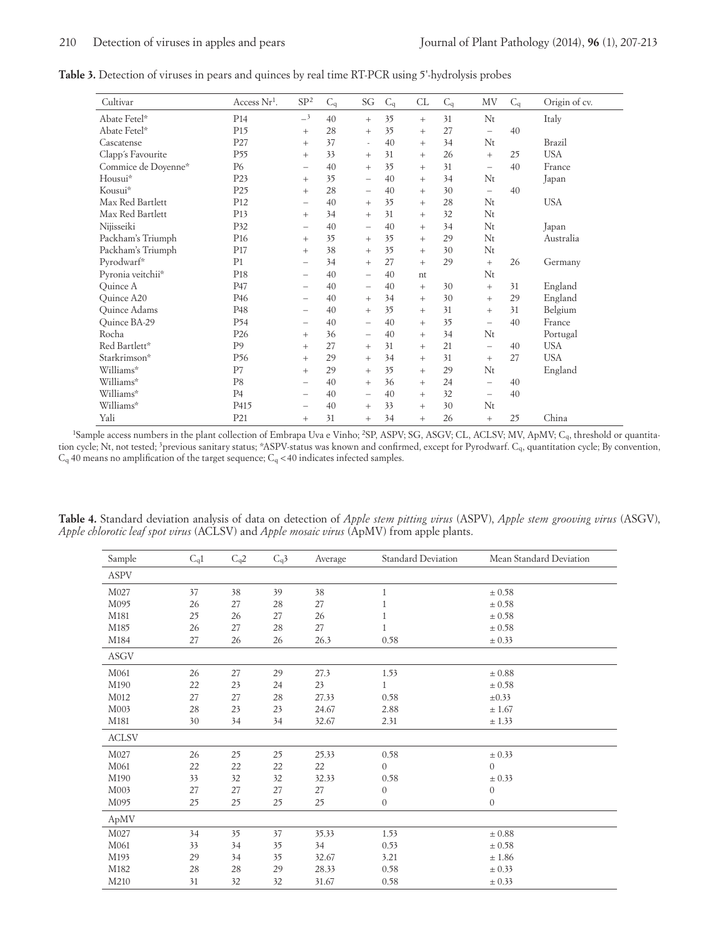| Table 3. Detection of viruses in pears and quinces by real time RT-PCR using 5'-hydrolysis probes |  |  |  |  |
|---------------------------------------------------------------------------------------------------|--|--|--|--|
|---------------------------------------------------------------------------------------------------|--|--|--|--|

| Cultivar            | Access $Nr^1$ .  | SP <sup>2</sup>          | $C_q$ | SG                       | $C_q$ | CL     | $C_q$ | MV                             | $C_q$ | Origin of cv. |
|---------------------|------------------|--------------------------|-------|--------------------------|-------|--------|-------|--------------------------------|-------|---------------|
| Abate Fetel*        | P <sub>14</sub>  | $-3$                     | 40    | $+$                      | 35    | $+$    | 31    | Nt                             |       | Italy         |
| Abate Fetel*        | P <sub>15</sub>  | $+$                      | 28    | $+$                      | 35    | $+$    | 27    | $\qquad \qquad -$              | 40    |               |
| Cascatense          | P27              | $^{+}$                   | 37    | $\overline{\phantom{a}}$ | 40    | $+$    | 34    | Nt                             |       | Brazil        |
| Clapp's Favourite   | P <sub>55</sub>  | $+$                      | 33    | $+$                      | 31    | $+$    | 26    | $^{+}$                         | 25    | <b>USA</b>    |
| Commice de Doyenne* | <b>P6</b>        | $\qquad \qquad -$        | 40    | $+$                      | 35    | $+$    | 31    | $\qquad \qquad \longleftarrow$ | 40    | France        |
| Housui*             | P23              | $+$                      | 35    | $\qquad \qquad -$        | 40    | $+$    | 34    | Nt                             |       | Japan         |
| Kousui*             | P <sub>25</sub>  | $+$                      | 28    | $\overline{\phantom{m}}$ | 40    | $+$    | 30    | $\overline{\phantom{m}}$       | 40    |               |
| Max Red Bartlett    | P <sub>12</sub>  | $\qquad \qquad -$        | 40    | $+$                      | 35    | $+$    | 28    | Nt                             |       | <b>USA</b>    |
| Max Red Bartlett    | P <sub>13</sub>  | $+$                      | 34    | $+$                      | 31    | $+$    | 32    | Nt                             |       |               |
| Nijisseiki          | P32              | $\overline{\phantom{0}}$ | 40    | $\overline{\phantom{m}}$ | 40    | $+$    | 34    | Nt                             |       | Japan         |
| Packham's Triumph   | P <sub>16</sub>  | $^{+}$                   | 35    | $+$                      | 35    | $+$    | 29    | $N_t$                          |       | Australia     |
| Packham's Triumph   | P <sub>17</sub>  | $+$                      | 38    | $+$                      | 35    | $+$    | 30    | Nt                             |       |               |
| Pyrodwarf*          | P <sub>1</sub>   | $\overline{\phantom{0}}$ | 34    | $+$                      | 27    | $+$    | 29    | $+$                            | 26    | Germany       |
| Pyronia veitchii*   | P <sub>18</sub>  | -                        | 40    | $\qquad \qquad -$        | 40    | nt     |       | $N_t$                          |       |               |
| Ouince A            | P47              | $\overline{\phantom{0}}$ | 40    | $\overline{\phantom{m}}$ | 40    | $+$    | 30    | $+$                            | 31    | England       |
| Quince A20          | P <sub>46</sub>  | $\qquad \qquad -$        | 40    | $+$                      | 34    | $^{+}$ | 30    | $^{+}$                         | 29    | England       |
| Quince Adams        | P48              | $\qquad \qquad -$        | 40    | $+$                      | 35    | $^{+}$ | 31    | $+$                            | 31    | Belgium       |
| Quince BA-29        | P <sub>54</sub>  | -                        | 40    | $\qquad \qquad -$        | 40    | $^{+}$ | 35    | $\overline{\phantom{0}}$       | 40    | France        |
| Rocha               | P <sub>26</sub>  | $+$                      | 36    | $\overline{\phantom{m}}$ | 40    | $^{+}$ | 34    | Nt                             |       | Portugal      |
| Red Bartlett*       | P <sub>9</sub>   | $+$                      | 27    | $+$                      | 31    | $^{+}$ | 21    | $\overline{\phantom{m}}$       | 40    | <b>USA</b>    |
| Starkrimson*        | P <sub>56</sub>  | $+$                      | 29    | $+$                      | 34    | $^{+}$ | 31    | $+$                            | 27    | <b>USA</b>    |
| Williams*           | P7               | $+$                      | 29    | $+$                      | 35    | $^{+}$ | 29    | Nt                             |       | England       |
| Williams*           | P <sub>8</sub>   | $\overline{\phantom{m}}$ | 40    | $^{+}$                   | 36    | $^{+}$ | 24    | $\overline{\phantom{0}}$       | 40    |               |
| Williams*           | P <sub>4</sub>   | -                        | 40    | $\overline{\phantom{0}}$ | 40    | $^{+}$ | 32    | $\overline{\phantom{0}}$       | 40    |               |
| Williams*           | P <sub>415</sub> | $\overline{\phantom{0}}$ | 40    | $+$                      | 33    | $^{+}$ | 30    | Nt                             |       |               |
| Yali                | P <sub>21</sub>  | $+$                      | 31    | $^{+}$                   | 34    | $+$    | 26    | $+$                            | 25    | China         |

1Sample access numbers in the plant collection of Embrapa Uva e Vinho; 2SP, ASPV; SG, ASGV; CL, ACLSV; MV, ApMV; Cq, threshold or quantitation cycle; Nt, not tested; <sup>3</sup>previous sanitary status; \*ASPV-status was known and confirmed, except for Pyrodwarf. C<sub>q</sub>, quantitation cycle; By convention,  $C_q$  40 means no amplification of the target sequence;  $C_q$  < 40 indicates infected samples.

| Sample       | $C_q1$ | $C_q2$ | $C_q$ 3 | Average | <b>Standard Deviation</b> | Mean Standard Deviation |
|--------------|--------|--------|---------|---------|---------------------------|-------------------------|
| <b>ASPV</b>  |        |        |         |         |                           |                         |
| M027         | 37     | 38     | 39      | 38      | $\mathbf{1}$              | $\pm 0.58$              |
| M095         | 26     | 27     | 28      | 27      | 1                         | $\pm 0.58$              |
| M181         | 25     | 26     | 27      | 26      | 1                         | $\pm 0.58$              |
| M185         | 26     | 27     | 28      | 27      | $\mathbf{1}$              | $\pm 0.58$              |
| M184         | 27     | 26     | 26      | 26.3    | 0.58                      | $\pm 0.33$              |
| <b>ASGV</b>  |        |        |         |         |                           |                         |
| M061         | 26     | 27     | 29      | 27.3    | 1.53                      | ± 0.88                  |
| M190         | 22     | 23     | 24      | 23      | 1                         | $\pm 0.58$              |
| M012         | 27     | 27     | 28      | 27.33   | 0.58                      | $\pm 0.33$              |
| M003         | 28     | 23     | 23      | 24.67   | 2.88                      | ± 1.67                  |
| M181         | 30     | 34     | 34      | 32.67   | 2.31                      | ± 1.33                  |
| <b>ACLSV</b> |        |        |         |         |                           |                         |
| M027         | 26     | 25     | 25      | 25.33   | 0.58                      | $\pm$ 0.33              |
| M061         | 22     | 22     | 22      | 22      | $\mathbf{0}$              | $\overline{0}$          |
| M190         | 33     | 32     | 32      | 32.33   | 0.58                      | $\pm 0.33$              |
| M003         | 27     | 27     | 27      | 27      | $\mathbf{0}$              | $\boldsymbol{0}$        |
| M095         | 25     | 25     | 25      | 25      | $\boldsymbol{0}$          | $\mathbf{0}$            |
| ApMV         |        |        |         |         |                           |                         |
| M027         | 34     | 35     | 37      | 35.33   | 1.53                      | $\pm\,0.88$             |
| M061         | 33     | 34     | 35      | 34      | 0.53                      | $\pm 0.58$              |
| M193         | 29     | 34     | 35      | 32.67   | 3.21                      | ±1.86                   |
| M182         | 28     | 28     | 29      | 28.33   | 0.58                      | $\pm$ 0.33              |
| M210         | 31     | 32     | 32      | 31.67   | 0.58                      | $\pm 0.33$              |

**Table 4.** Standard deviation analysis of data on detection of *Apple stem pitting virus* (ASPV), *Apple stem grooving virus* (ASGV), *Apple chlorotic leaf spot virus* (ACLSV) and *Apple mosaic virus* (ApMV) from apple plants.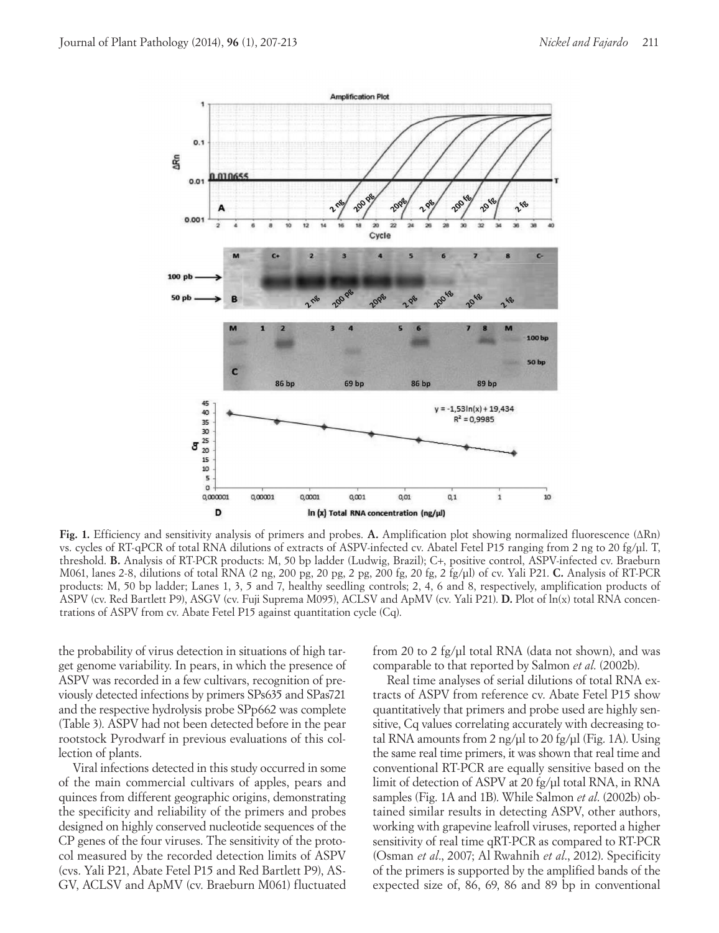

**Fig. 1.** Efficiency and sensitivity analysis of primers and probes. **A.** Amplification plot showing normalized fluorescence (ΔRn) vs. cycles of RT-qPCR of total RNA dilutions of extracts of ASPV-infected cv. Abatel Fetel P15 ranging from 2 ng to 20 fg/µl. T, threshold. **B.** Analysis of RT-PCR products: M, 50 bp ladder (Ludwig, Brazil); C+, positive control, ASPV-infected cv. Braeburn M061, lanes 2-8, dilutions of total RNA (2 ng, 200 pg, 20 pg, 2 pg, 200 fg, 20 fg, 2 fg/µl) of cv. Yali P21. **C.** Analysis of RT-PCR products: M, 50 bp ladder; Lanes 1, 3, 5 and 7, healthy seedling controls; 2, 4, 6 and 8, respectively, amplification products of ASPV (cv. Red Bartlett P9), ASGV (cv. Fuji Suprema M095), ACLSV and ApMV (cv. Yali P21). **D.** Plot of ln(x) total RNA concentrations of ASPV from cv. Abate Fetel P15 against quantitation cycle (Cq).

the probability of virus detection in situations of high target genome variability. In pears, in which the presence of ASPV was recorded in a few cultivars, recognition of previously detected infections by primers SPs635 and SPas721 and the respective hydrolysis probe SPp662 was complete (Table 3). ASPV had not been detected before in the pear rootstock Pyrodwarf in previous evaluations of this collection of plants.

Viral infections detected in this study occurred in some of the main commercial cultivars of apples, pears and quinces from different geographic origins, demonstrating the specificity and reliability of the primers and probes designed on highly conserved nucleotide sequences of the CP genes of the four viruses. The sensitivity of the protocol measured by the recorded detection limits of ASPV (cvs. Yali P21, Abate Fetel P15 and Red Bartlett P9), AS-GV, ACLSV and ApMV (cv. Braeburn M061) fluctuated from 20 to 2 fg/µl total RNA (data not shown), and was comparable to that reported by Salmon *et al*. (2002b).

Real time analyses of serial dilutions of total RNA extracts of ASPV from reference cv. Abate Fetel P15 show quantitatively that primers and probe used are highly sensitive, Cq values correlating accurately with decreasing total RNA amounts from 2 ng/ $\mu$ l to 20 fg/ $\mu$ l (Fig. 1A). Using the same real time primers, it was shown that real time and conventional RT-PCR are equally sensitive based on the limit of detection of ASPV at 20 fg/µl total RNA, in RNA samples (Fig. 1A and 1B). While Salmon *et al*. (2002b) obtained similar results in detecting ASPV, other authors, working with grapevine leafroll viruses, reported a higher sensitivity of real time qRT-PCR as compared to RT-PCR (Osman *et al*., 2007; Al Rwahnih *et al*., 2012). Specificity of the primers is supported by the amplified bands of the expected size of, 86, 69, 86 and 89 bp in conventional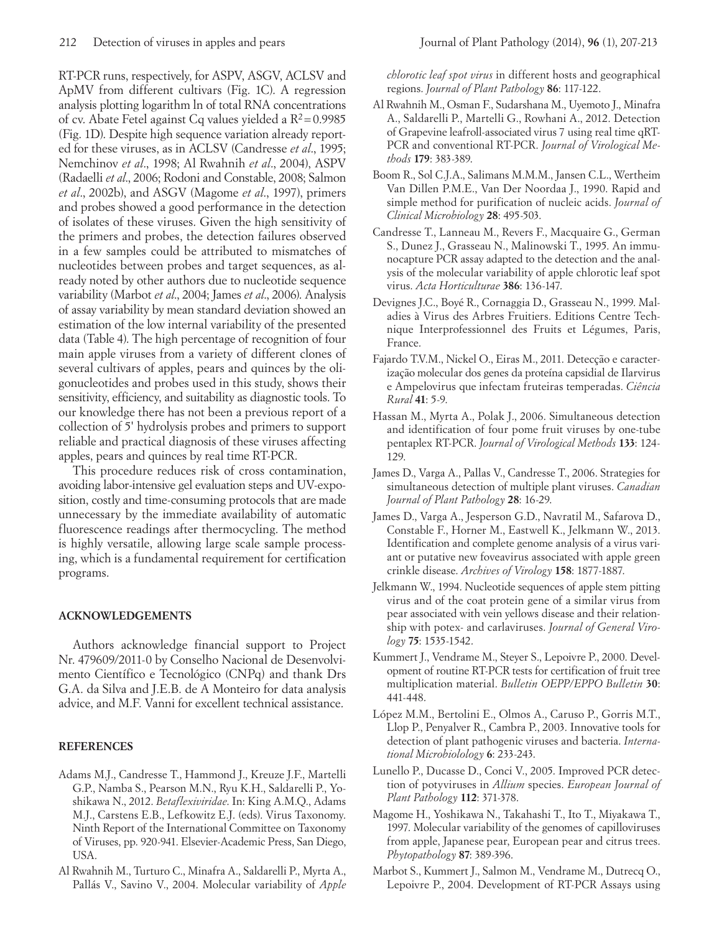RT-PCR runs, respectively, for ASPV, ASGV, ACLSV and ApMV from different cultivars (Fig. 1C). A regression analysis plotting logarithm ln of total RNA concentrations of cv. Abate Fetel against Cq values yielded a  $R^2$  = 0.9985 (Fig. 1D). Despite high sequence variation already reported for these viruses, as in ACLSV (Candresse *et al*., 1995; Nemchinov *et al*., 1998; Al Rwahnih *et al*., 2004), ASPV (Radaelli *et al*., 2006; Rodoni and Constable, 2008; Salmon *et al*., 2002b), and ASGV (Magome *et al*., 1997), primers and probes showed a good performance in the detection of isolates of these viruses. Given the high sensitivity of the primers and probes, the detection failures observed in a few samples could be attributed to mismatches of nucleotides between probes and target sequences, as already noted by other authors due to nucleotide sequence variability (Marbot *et al*., 2004; James *et al*., 2006). Analysis of assay variability by mean standard deviation showed an estimation of the low internal variability of the presented data (Table 4). The high percentage of recognition of four main apple viruses from a variety of different clones of several cultivars of apples, pears and quinces by the oligonucleotides and probes used in this study, shows their sensitivity, efficiency, and suitability as diagnostic tools. To our knowledge there has not been a previous report of a collection of 5' hydrolysis probes and primers to support reliable and practical diagnosis of these viruses affecting apples, pears and quinces by real time RT-PCR.

This procedure reduces risk of cross contamination, avoiding labor-intensive gel evaluation steps and UV-exposition, costly and time-consuming protocols that are made unnecessary by the immediate availability of automatic fluorescence readings after thermocycling. The method is highly versatile, allowing large scale sample processing, which is a fundamental requirement for certification programs.

# **ACKNOWLEDGEMENTS**

Authors acknowledge financial support to Project Nr. 479609/2011-0 by Conselho Nacional de Desenvolvimento Científico e Tecnológico (CNPq) and thank Drs G.A. da Silva and J.E.B. de A Monteiro for data analysis advice, and M.F. Vanni for excellent technical assistance.

# **REFERENCES**

- Adams M.J., Candresse T., Hammond J., Kreuze J.F., Martelli G.P., Namba S., Pearson M.N., Ryu K.H., Saldarelli P., Yoshikawa N., 2012. *Betaflexiviridae*. In: King A.M.Q., Adams M.J., Carstens E.B., Lefkowitz E.J. (eds). Virus Taxonomy. Ninth Report of the International Committee on Taxonomy of Viruses, pp. 920-941. Elsevier-Academic Press, San Diego, USA.
- Al Rwahnih M., Turturo C., Minafra A., Saldarelli P., Myrta A., Pallás V., Savino V., 2004. Molecular variability of *Apple*

*chlorotic leaf spot virus* in different hosts and geographical regions. *Journal of Plant Pathology* **86**: 117-122.

- Al Rwahnih M., Osman F., Sudarshana M., Uyemoto J., Minafra A., Saldarelli P., Martelli G., Rowhani A., 2012. Detection of Grapevine leafroll-associated virus 7 using real time qRT-PCR and conventional RT-PCR. *Journal of Virological Methods* **179**: 383-389.
- Boom R., Sol C.J.A., Salimans M.M.M., Jansen C.L., Wertheim Van Dillen P.M.E., Van Der Noordaa J., 1990. Rapid and simple method for purification of nucleic acids. *Journal of Clinical Microbiology* **28**: 495-503.
- Candresse T., Lanneau M., Revers F., Macquaire G., German S., Dunez J., Grasseau N., Malinowski T., 1995. An immunocapture PCR assay adapted to the detection and the analysis of the molecular variability of apple chlorotic leaf spot virus. *Acta Horticulturae* **386**: 136-147.
- Devignes J.C., Boyé R., Cornaggia D., Grasseau N., 1999. Maladies à Virus des Arbres Fruitiers. Editions Centre Technique Interprofessionnel des Fruits et Légumes, Paris, France.
- Fajardo T.V.M., Nickel O., Eiras M., 2011. Detecção e caracterização molecular dos genes da proteína capsidial de Ilarvirus e Ampelovirus que infectam fruteiras temperadas. *Ciência Rural* **41**: 5-9.
- Hassan M., Myrta A., Polak J., 2006. Simultaneous detection and identification of four pome fruit viruses by one-tube pentaplex RT-PCR. *Journal of Virological Methods* **133**: 124- 129.
- James D., Varga A., Pallas V., Candresse T., 2006. Strategies for simultaneous detection of multiple plant viruses. *Canadian Journal of Plant Pathology* **28**: 16-29.
- James D., Varga A., Jesperson G.D., Navratil M., Safarova D., Constable F., Horner M., Eastwell K., Jelkmann W., 2013. Identification and complete genome analysis of a virus variant or putative new foveavirus associated with apple green crinkle disease. *Archives of Virology* **158**: 1877-1887.
- Jelkmann W., 1994. Nucleotide sequences of apple stem pitting virus and of the coat protein gene of a similar virus from pear associated with vein yellows disease and their relationship with potex- and carlaviruses. *Journal of General Virology* **75**: 1535-1542.
- Kummert J., Vendrame M., Steyer S., Lepoivre P., 2000. Development of routine RT-PCR tests for certification of fruit tree multiplication material. *Bulletin OEPP/EPPO Bulletin* **30**: 441-448.
- López M.M., Bertolini E., Olmos A., Caruso P., Gorris M.T., Llop P., Penyalver R., Cambra P., 2003. Innovative tools for detection of plant pathogenic viruses and bacteria. *International Microbiolology* **6**: 233-243.
- Lunello P., Ducasse D., Conci V., 2005. Improved PCR detection of potyviruses in *Allium* species. *European Journal of Plant Pathology* **112**: 371-378.
- Magome H., Yoshikawa N., Takahashi T., Ito T., Miyakawa T., 1997. Molecular variability of the genomes of capilloviruses from apple, Japanese pear, European pear and citrus trees. *Phytopathology* **87**: 389-396.
- Marbot S., Kummert J., Salmon M., Vendrame M., Dutrecq O., Lepoivre P., 2004. Development of RT-PCR Assays using